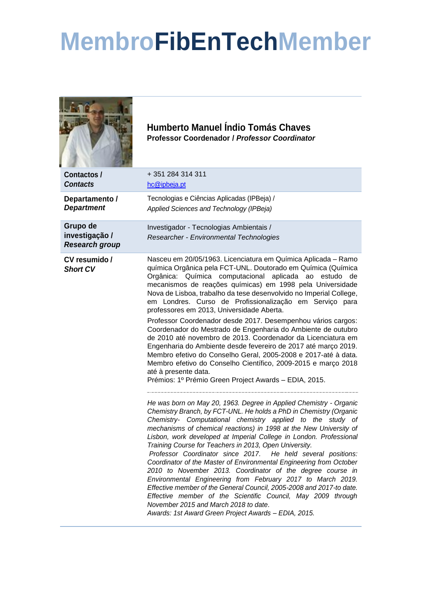## **MembroFibEnTechMember**

|                                                     | <b>Humberto Manuel Índio Tomás Chaves</b><br><b>Professor Coordenador / Professor Coordinator</b>                                                                                                                                                                                                                                                                                                                                                                                                                                                                                                                                                                                                                                                                                                                                                                                                                                |
|-----------------------------------------------------|----------------------------------------------------------------------------------------------------------------------------------------------------------------------------------------------------------------------------------------------------------------------------------------------------------------------------------------------------------------------------------------------------------------------------------------------------------------------------------------------------------------------------------------------------------------------------------------------------------------------------------------------------------------------------------------------------------------------------------------------------------------------------------------------------------------------------------------------------------------------------------------------------------------------------------|
| Contactos /<br><b>Contacts</b>                      | +351284314311<br>hc@ipbeja.pt                                                                                                                                                                                                                                                                                                                                                                                                                                                                                                                                                                                                                                                                                                                                                                                                                                                                                                    |
| Departamento /<br><b>Department</b>                 | Tecnologias e Ciências Aplicadas (IPBeja) /<br>Applied Sciences and Technology (IPBeja)                                                                                                                                                                                                                                                                                                                                                                                                                                                                                                                                                                                                                                                                                                                                                                                                                                          |
| Grupo de<br>investigação /<br><b>Research group</b> | Investigador - Tecnologias Ambientais /<br>Researcher - Environmental Technologies                                                                                                                                                                                                                                                                                                                                                                                                                                                                                                                                                                                                                                                                                                                                                                                                                                               |
| CV resumido /<br><b>Short CV</b>                    | Nasceu em 20/05/1963. Licenciatura em Química Aplicada - Ramo<br>química Orgânica pela FCT-UNL. Doutorado em Química (Química<br>Orgânica: Química computacional<br>aplicada ao<br>estudo<br>de<br>mecanismos de reações químicas) em 1998 pela Universidade<br>Nova de Lisboa, trabalho da tese desenvolvido no Imperial College,<br>em Londres. Curso de Profissionalização em Serviço para<br>professores em 2013, Universidade Aberta.<br>Professor Coordenador desde 2017. Desempenhou vários cargos:<br>Coordenador do Mestrado de Engenharia do Ambiente de outubro<br>de 2010 até novembro de 2013. Coordenador da Licenciatura em<br>Engenharia do Ambiente desde fevereiro de 2017 até março 2019.<br>Membro efetivo do Conselho Geral, 2005-2008 e 2017-até à data.<br>Membro efetivo do Conselho Científico, 2009-2015 e março 2018<br>até à presente data.<br>Prémios: 1º Prémio Green Project Awards - EDIA, 2015. |
|                                                     | He was born on May 20, 1963. Degree in Applied Chemistry - Organic<br>Chemistry Branch, by FCT-UNL. He holds a PhD in Chemistry (Organic<br>Chemistry- Computational chemistry applied to the study of<br>mechanisms of chemical reactions) in 1998 at the New University of<br>Lisbon, work developed at Imperial College in London. Professional<br>Training Course for Teachers in 2013, Open University.<br>Professor Coordinator since 2017. He held several positions:<br>Coordinator of the Master of Environmental Engineering from October<br>2010 to November 2013. Coordinator of the degree course in<br>Environmental Engineering from February 2017 to March 2019.<br>Effective member of the General Council, 2005-2008 and 2017-to date.<br>Effective member of the Scientific Council, May 2009 through<br>November 2015 and March 2018 to date.<br>Awards: 1st Award Green Project Awards - EDIA, 2015.        |